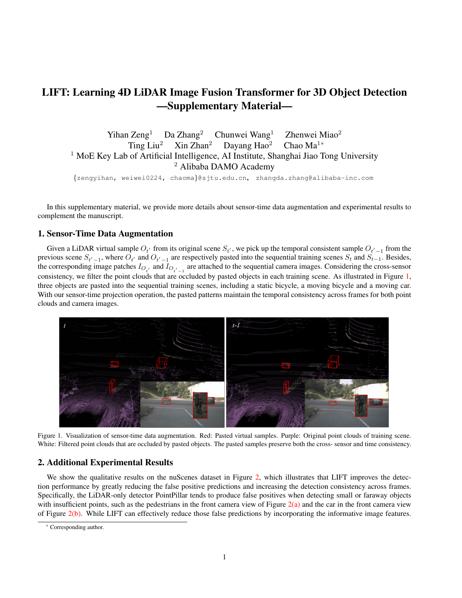## LIFT: Learning 4D LiDAR Image Fusion Transformer for 3D Object Detection —Supplementary Material—

Yihan Zeng<sup>1</sup> Da Zhang<sup>2</sup> Chunwei Wang<sup>1</sup> Zhenwei Miao<sup>2</sup> Ting Liu<sup>2</sup> Xin Zhan<sup>2</sup> Dayang Hao<sup>2</sup> Chao Ma<sup>1\*</sup> <sup>1</sup> MoE Key Lab of Artificial Intelligence, AI Institute, Shanghai Jiao Tong University <sup>2</sup> Alibaba DAMO Academy

{zengyihan, weiwei0224, chaoma}@sjtu.edu.cn, zhangda.zhang@alibaba-inc.com

In this supplementary material, we provide more details about sensor-time data augmentation and experimental results to complement the manuscript.

## 1. Sensor-Time Data Augmentation

Given a LiDAR virtual sample  $O_{t'}$  from its original scene  $S_{t'}$ , we pick up the temporal consistent sample  $O_{t'-1}$  from the previous scene  $S_{t'-1}$ , where  $O_{t'}$  and  $O_{t'-1}$  are respectively pasted into the sequential training scenes  $S_t$  and  $S_{t-1}$ . Besides, the corresponding image patches  $I_{O_{t'}}$  and  $I_{O_{t'-1}}$  are attached to the sequential camera images. Considering the cross-sensor consistency, we filter the point clouds that are occluded by pasted objects in each training scene. As illustrated in Figure [1,](#page-0-0) three objects are pasted into the sequential training scenes, including a static bicycle, a moving bicycle and a moving car. With our sensor-time projection operation, the pasted patterns maintain the temporal consistency across frames for both point clouds and camera images.

<span id="page-0-0"></span>

Figure 1. Visualization of sensor-time data augmentation. Red: Pasted virtual samples. Purple: Original point clouds of training scene. White: Filtered point clouds that are occluded by pasted objects. The pasted samples preserve both the cross- sensor and time consistency.

## 2. Additional Experimental Results

We show the qualitative results on the nuScenes dataset in Figure [2,](#page-1-0) which illustrates that LIFT improves the detection performance by greatly reducing the false positive predictions and increasing the detection consistency across frames. Specifically, the LiDAR-only detector PointPillar tends to produce false positives when detecting small or faraway objects with insufficient points, such as the pedestrians in the front camera view of Figure  $2(a)$  $2(a)$  and the car in the front camera view of Figure [2\(](#page-1-0)b). While LIFT can effectively reduce those false predictions by incorporating the informative image features.

<sup>\*</sup> Corresponding author.